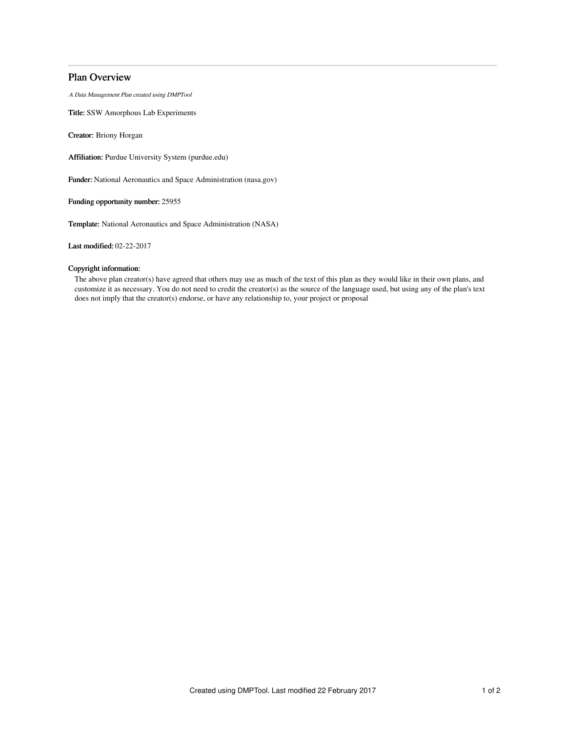# Plan Overview

A Data Management Plan created using DMPTool

Title: SSW Amorphous Lab Experiments

Creator: Briony Horgan

Affiliation: Purdue University System (purdue.edu)

Funder: National Aeronautics and Space Administration (nasa.gov)

Funding opportunity number: 25955

Template: National Aeronautics and Space Administration (NASA)

Last modified: 02-22-2017

# Copyright information:

The above plan creator(s) have agreed that others may use as much of the text of this plan as they would like in their own plans, and customize it as necessary. You do not need to credit the creator(s) as the source of the language used, but using any of the plan's text does not imply that the creator(s) endorse, or have any relationship to, your project or proposal